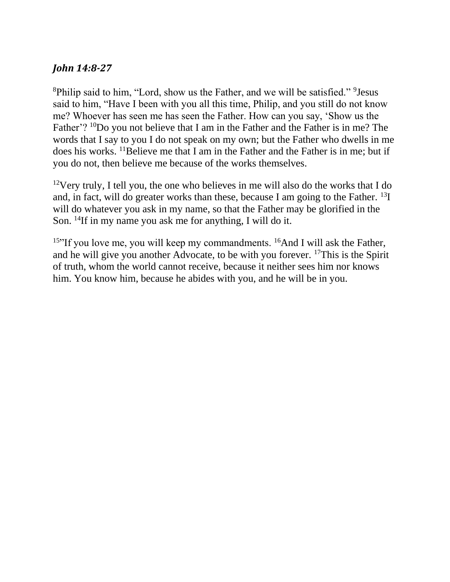# *John 14:8-27*

<sup>8</sup>Philip said to him, "Lord, show us the Father, and we will be satisfied." <sup>9</sup> Jesus said to him, "Have I been with you all this time, Philip, and you still do not know me? Whoever has seen me has seen the Father. How can you say, 'Show us the Father'? <sup>10</sup>Do you not believe that I am in the Father and the Father is in me? The words that I say to you I do not speak on my own; but the Father who dwells in me does his works. <sup>11</sup>Believe me that I am in the Father and the Father is in me; but if you do not, then believe me because of the works themselves.

<sup>12</sup>Very truly, I tell you, the one who believes in me will also do the works that I do and, in fact, will do greater works than these, because I am going to the Father. <sup>13</sup>I will do whatever you ask in my name, so that the Father may be glorified in the Son. <sup>14</sup>If in my name you ask me for anything, I will do it.

<sup>15</sup>"If you love me, you will keep my commandments. <sup>16</sup>And I will ask the Father, and he will give you another Advocate, to be with you forever. <sup>17</sup>This is the Spirit of truth, whom the world cannot receive, because it neither sees him nor knows him. You know him, because he abides with you, and he will be in you.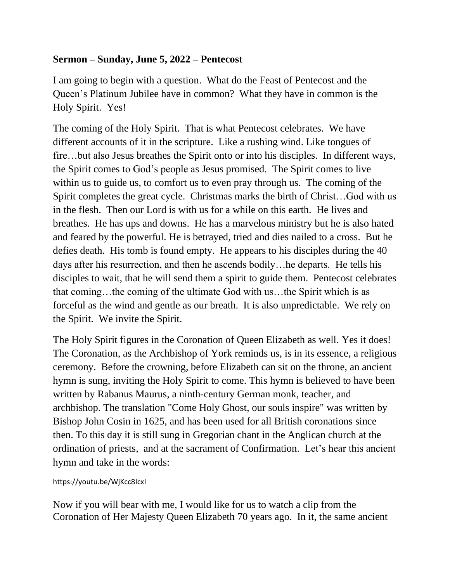## **Sermon – Sunday, June 5, 2022 – Pentecost**

I am going to begin with a question. What do the Feast of Pentecost and the Queen's Platinum Jubilee have in common? What they have in common is the Holy Spirit. Yes!

The coming of the Holy Spirit. That is what Pentecost celebrates. We have different accounts of it in the scripture. Like a rushing wind. Like tongues of fire…but also Jesus breathes the Spirit onto or into his disciples. In different ways, the Spirit comes to God's people as Jesus promised. The Spirit comes to live within us to guide us, to comfort us to even pray through us. The coming of the Spirit completes the great cycle. Christmas marks the birth of Christ…God with us in the flesh. Then our Lord is with us for a while on this earth. He lives and breathes. He has ups and downs. He has a marvelous ministry but he is also hated and feared by the powerful. He is betrayed, tried and dies nailed to a cross. But he defies death. His tomb is found empty. He appears to his disciples during the 40 days after his resurrection, and then he ascends bodily…he departs. He tells his disciples to wait, that he will send them a spirit to guide them. Pentecost celebrates that coming…the coming of the ultimate God with us…the Spirit which is as forceful as the wind and gentle as our breath. It is also unpredictable. We rely on the Spirit. We invite the Spirit.

The Holy Spirit figures in the Coronation of Queen Elizabeth as well. Yes it does! The Coronation, as the Archbishop of York reminds us, is in its essence, a religious ceremony. Before the crowning, before Elizabeth can sit on the throne, an ancient hymn is sung, inviting the Holy Spirit to come. This [hymn](https://en.wikipedia.org/wiki/Hymn) is believed to have been written by [Rabanus Maurus,](https://en.wikipedia.org/wiki/Rabanus_Maurus) a ninth-century German monk, teacher, and archbishop. The translation "Come Holy Ghost, our souls inspire" was written by Bishop [John Cosin](https://en.wikipedia.org/wiki/John_Cosin) in 1625, and has been used for all British coronations since then. To this day it is still sung in Gregorian chant in the Anglican church at the [ordination](https://en.wikipedia.org/wiki/Holy_Orders) of [priests,](https://en.wikipedia.org/wiki/Priest_(Catholic_Church)) and at the [sacrament](https://en.wikipedia.org/wiki/Sacrament) of [Confirmation.](https://en.wikipedia.org/wiki/Confirmation_(Catholic_Church)) Let's hear this ancient hymn and take in the words:

### https://youtu.be/WjKcc8IcxI

Now if you will bear with me, I would like for us to watch a clip from the Coronation of Her Majesty Queen Elizabeth 70 years ago. In it, the same ancient